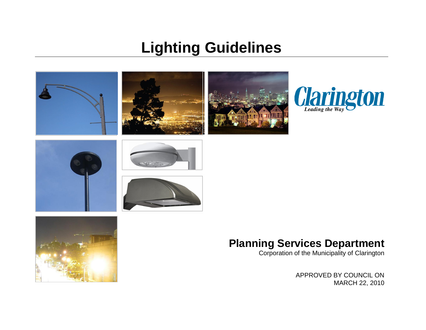# **Lighting Guidelines**





# **Planning Services Department**

Corporation of the Municipality of Clarington

APPROVED BY COUNCIL ON MARCH 22, 2010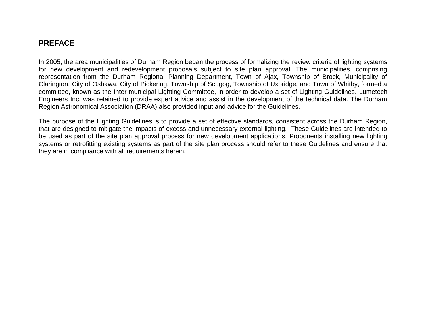## **PREFACE**

In 2005, the area municipalities of Durham Region began the process of formalizing the review criteria of lighting systems for new development and redevelopment proposals subject to site plan approval. The municipalities, comprising representation from the Durham Regional Planning Department, Town of Ajax, Township of Brock, Municipality of Clarington, City of Oshawa, City of Pickering, Township of Scugog, Township of Uxbridge, and Town of Whitby, formed a committee, known as the Inter-municipal Lighting Committee, in order to develop a set of Lighting Guidelines. Lumetech Engineers Inc. was retained to provide expert advice and assist in the development of the technical data. The Durham Region Astronomical Association (DRAA) also provided input and advice for the Guidelines.

The purpose of the Lighting Guidelines is to provide a set of effective standards, consistent across the Durham Region, that are designed to mitigate the impacts of excess and unnecessary external lighting. These Guidelines are intended to be used as part of the site plan approval process for new development applications. Proponents installing new lighting systems or retrofitting existing systems as part of the site plan process should refer to these Guidelines and ensure that they are in compliance with all requirements herein.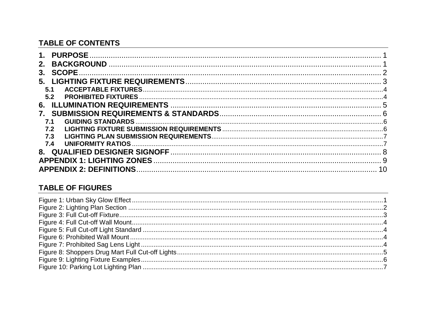# **TABLE OF CONTENTS**

| 1 <sub>1</sub>                 |  |
|--------------------------------|--|
| 2.                             |  |
| 3.                             |  |
| 5.                             |  |
| 5.1                            |  |
| 5.2                            |  |
| 6.                             |  |
| $7_{\scriptscriptstyle{\sim}}$ |  |
|                                |  |
| 7.2                            |  |
| 7.3                            |  |
| 7.4                            |  |
|                                |  |
|                                |  |
|                                |  |

# **TABLE OF FIGURES**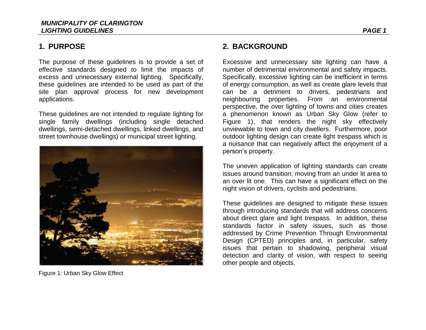# <span id="page-3-0"></span>**1. PURPOSE**

The purpose of these guidelines is to provide a set of effective standards designed to limit the impacts of excess and unnecessary external lighting. Specifically, these guidelines are intended to be used as part of the site plan approval process for new development applications.

These guidelines are not intended to regulate lighting for single family dwellings (including single detached dwellings, semi-detached dwellings, linked dwellings, and street townhouse dwellings) or municipal street lighting.

<span id="page-3-2"></span>

Figure 1: Urban Sky Glow Effect

# <span id="page-3-1"></span>**2. BACKGROUND**

Excessive and unnecessary site lighting can have a number of detrimental environmental and safety impacts. Specifically, excessive lighting can be inefficient in terms of energy consumption, as well as create glare levels that can be a detriment to drivers, pedestrians and neighbouring properties. From an environmental perspective, the over lighting of towns and cities creates a phenomenon known as Urban Sky Glow (refer to Figure 1), that renders the night sky effectively unviewable to town and city dwellers. Furthermore, poor outdoor lighting design can create light trespass which is a nuisance that can negatively affect the enjoyment of a person"s property.

The uneven application of lighting standards can create issues around transition; moving from an under lit area to an over lit one. This can have a significant effect on the night vision of drivers, cyclists and pedestrians.

These guidelines are designed to mitigate these issues through introducing standards that will address concerns about direct glare and light trespass. In addition, these standards factor in safety issues, such as those addressed by Crime Prevention Through Environmental Design (CPTED) principles and, in particular, safety issues that pertain to shadowing, peripheral visual detection and clarity of vision, with respect to seeing other people and objects.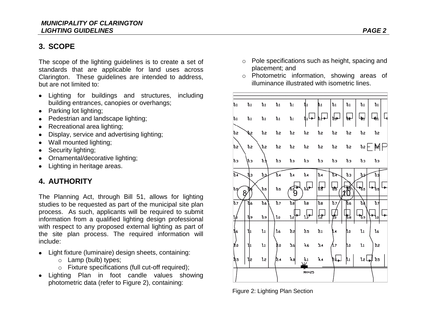# <span id="page-4-0"></span>**3. SCOPE**

The scope of the lighting guidelines is to create a set of standards that are applicable for land uses across Clarington. These guidelines are intended to address, but are not limited to:

- Lighting for buildings and structures, including building entrances, canopies or overhangs;
- Parking lot lighting;
- Pedestrian and landscape lighting;
- Recreational area lighting;
- Display, service and advertising lighting;
- Wall mounted lighting;
- Security lighting;
- Ornamental/decorative lighting;
- Lighting in heritage areas.

# **4. AUTHORITY**

The Planning Act, through Bill 51, allows for lighting studies to be requested as part of the municipal site plan process. As such, applicants will be required to submit information from a qualified lighting design professional with respect to any proposed external lighting as part of the site plan process. The required information will include:

- Light fixture (luminaire) design sheets, containing:
	- o Lamp (bulb) types;
	- o Fixture specifications (full cut-off required);
- Lighting Plan in foot candle values showing photometric data (refer to Figure 2), containing:
- o Pole specifications such as height, spacing and placement; and
- o Photometric information, showing areas of illuminance illustrated with isometric lines.



<span id="page-4-1"></span>Figure 2: Lighting Plan Section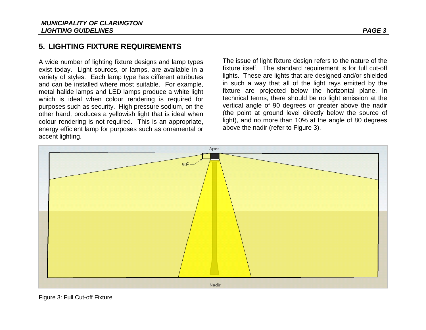# <span id="page-5-0"></span>**5. LIGHTING FIXTURE REQUIREMENTS**

A wide number of lighting fixture designs and lamp types exist today. Light sources, or lamps, are available in a variety of styles. Each lamp type has different attributes and can be installed where most suitable. For example, metal halide lamps and LED lamps produce a white light which is ideal when colour rendering is required for purposes such as security. High pressure sodium, on the other hand, produces a yellowish light that is ideal when colour rendering is not required. This is an appropriate, energy efficient lamp for purposes such as ornamental or accent lighting.

The issue of light fixture design refers to the nature of the fixture itself. The standard requirement is for full cut-off lights. These are lights that are designed and/or shielded in such a way that all of the light rays emitted by the fixture are projected below the horizontal plane. In technical terms, there should be no light emission at the vertical angle of 90 degrees or greater above the nadir (the point at ground level directly below the source of light), and no more than 10% at the angle of 80 degrees above the nadir (refer to Figure 3).



<span id="page-5-1"></span>Figure 3: Full Cut-off Fixture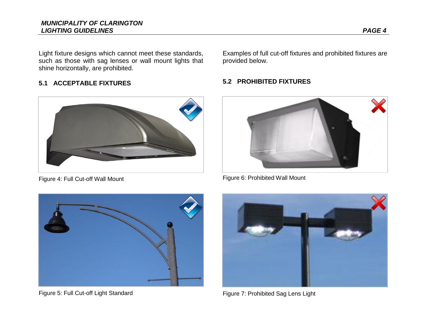Light fixture designs which cannot meet these standards, such as those with sag lenses or wall mount lights that shine horizontally, are prohibited.

#### <span id="page-6-0"></span>**5.1 ACCEPTABLE FIXTURES**



Figure 4: Full Cut-off Wall Mount

Examples of full cut-off fixtures and prohibited fixtures are provided below.

#### <span id="page-6-1"></span>**5.2 PROHIBITED FIXTURES**



Figure 6: Prohibited Wall Mount

<span id="page-6-3"></span><span id="page-6-2"></span>

Figure 5: Full Cut-off Light Standard

<span id="page-6-5"></span><span id="page-6-4"></span>

Figure 7: Prohibited Sag Lens Light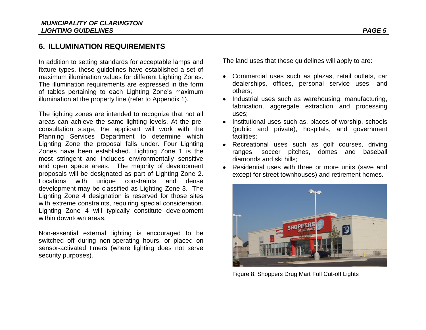# <span id="page-7-0"></span>**6. ILLUMINATION REQUIREMENTS**

In addition to setting standards for acceptable lamps and fixture types, these guidelines have established a set of maximum illumination values for different Lighting Zones. The illumination requirements are expressed in the form of tables pertaining to each Lighting Zone"s maximum illumination at the property line (refer to Appendix 1).

The lighting zones are intended to recognize that not all areas can achieve the same lighting levels. At the preconsultation stage, the applicant will work with the Planning Services Department to determine which Lighting Zone the proposal falls under. Four Lighting Zones have been established. Lighting Zone 1 is the most stringent and includes environmentally sensitive and open space areas. The majority of development proposals will be designated as part of Lighting Zone 2. Locations with unique constraints and dense development may be classified as Lighting Zone 3. The Lighting Zone 4 designation is reserved for those sites with extreme constraints, requiring special consideration. Lighting Zone 4 will typically constitute development within downtown areas.

Non-essential external lighting is encouraged to be switched off during non-operating hours, or placed on sensor-activated timers (where lighting does not serve security purposes).

The land uses that these guidelines will apply to are:

- Commercial uses such as plazas, retail outlets, car dealerships, offices, personal service uses, and others;
- Industrial uses such as warehousing, manufacturing, fabrication, aggregate extraction and processing uses;
- Institutional uses such as, places of worship, schools (public and private), hospitals, and government facilities;
- Recreational uses such as golf courses, driving ranges, soccer pitches, domes and baseball diamonds and ski hills;
- Residential uses with three or more units (save and except for street townhouses) and retirement homes.

<span id="page-7-1"></span>

Figure 8: Shoppers Drug Mart Full Cut-off Lights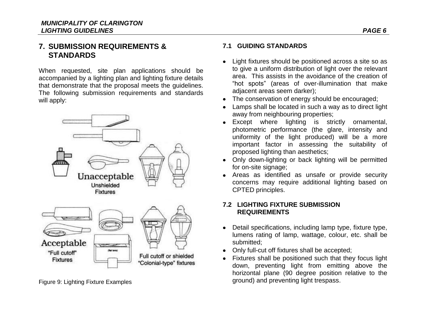## <span id="page-8-0"></span>**7. SUBMISSION REQUIREMENTS & STANDARDS**

When requested, site plan applications should be accompanied by a lighting plan and lighting fixture details that demonstrate that the proposal meets the guidelines. The following submission requirements and standards will apply:



<span id="page-8-3"></span>Figure 9: Lighting Fixture Examples

#### <span id="page-8-1"></span>**7.1 GUIDING STANDARDS**

- Light fixtures should be positioned across a site so as to give a uniform distribution of light over the relevant area. This assists in the avoidance of the creation of "hot spots" (areas of over-illumination that make adjacent areas seem darker);
- The conservation of energy should be encouraged;
- Lamps shall be located in such a way as to direct light away from neighbouring properties;
- Except where lighting is strictly ornamental, photometric performance (the glare, intensity and uniformity of the light produced) will be a more important factor in assessing the suitability of proposed lighting than aesthetics;
- Only down-lighting or back lighting will be permitted for on-site signage;
- Areas as identified as unsafe or provide security concerns may require additional lighting based on CPTED principles.

#### <span id="page-8-2"></span>**7.2 LIGHTING FIXTURE SUBMISSION REQUIREMENTS**

- Detail specifications, including lamp type, fixture type, lumens rating of lamp, wattage, colour, etc. shall be submitted;
- Only full-cut off fixtures shall be accepted;
- Fixtures shall be positioned such that they focus light down, preventing light from emitting above the horizontal plane (90 degree position relative to the ground) and preventing light trespass.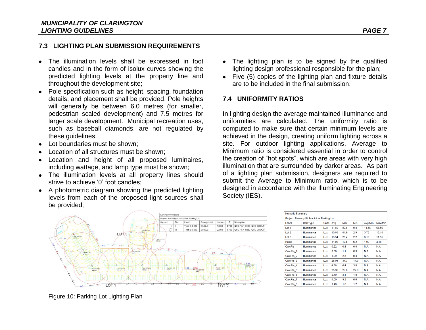#### <span id="page-9-0"></span>**7.3 LIGHTING PLAN SUBMISSION REQUIREMENTS**

- The illumination levels shall be expressed in foot candles and in the form of isolux curves showing the predicted lighting levels at the property line and throughout the development site;
- Pole specification such as height, spacing, foundation details, and placement shall be provided. Pole heights will generally be between 6.0 metres (for smaller, pedestrian scaled development) and 7.5 metres for larger scale development. Municipal recreation uses, such as baseball diamonds, are not regulated by these guidelines;
- Lot boundaries must be shown;
- Location of all structures must be shown;
- Location and height of all proposed luminaires, including wattage, and lamp type must be shown;
- The illumination levels at all property lines should strive to achieve '0' foot candles:
- A photometric diagram showing the predicted lighting levels from each of the proposed light sources shall be provided;
- The lighting plan is to be signed by the qualified lighting design professional responsible for the plan;
- Five (5) copies of the lighting plan and fixture details are to be included in the final submission.

#### <span id="page-9-1"></span>**7.4 UNIFORMITY RATIOS**

In lighting design the average maintained illuminance and uniformities are calculated. The uniformity ratio is computed to make sure that certain minimum levels are achieved in the design, creating uniform lighting across a site. For outdoor lighting applications, Average to Minimum ratio is considered essential in order to control the creation of "hot spots", which are areas with very high illumination that are surrounded by darker areas. As part of a lighting plan submission, designers are required to submit the Average to Minimum ratio, which is to be designed in accordance with the Illuminating Engineering Society (IES).

**Communication** 



| Numeric Summary |                                             |              |       |      |      |         |         |
|-----------------|---------------------------------------------|--------------|-------|------|------|---------|---------|
|                 | Project: Berverly St. Municipal Parking Lot |              |       |      |      |         |         |
| Label           | CalcType                                    | <b>Units</b> | Avg   | Max  | Min  | Avg/Min | Max/Min |
| Lot 1           | Illuminance                                 | Lux          | 11.89 | 50.8 | 0.8  | 14.86   | 63.50   |
| Lot 2           | Illuminance                                 | Lux          | 10.88 | 44.9 | 2.9  | 3.75    | 15.48   |
| Lot 3           | Illuminance                                 | Lux          | 13.54 | 25.4 | 2.2  | 6.15    | 11.55   |
| Road            | Illuminance                                 | Lux          | 11.92 | 19.5 | 6.2  | 1.92    | 3.15    |
| CalcPts         | Illuminance                                 | Lux          | 0.22  | 0.4  | 0.0  | N.A.    | N.A.    |
| CalcPts_1       | Illuminance                                 | Lux          | 0.80  | 1.1  | 0.3  | N.A.    | N.A.    |
| CalcPts_2       | Illuminance                                 | Lux          | 1.09  | 2.8  | 0.3  | N.A.    | N.A.    |
| CalcPts_3       | Illuminance                                 | Lux          | 25.95 | 34.3 | 17.6 | N.A.    | N.A.    |
| CalcPts 4       | Illuminance                                 | Lux          | 4.38  | 6.4  | 3.0  | N.A.    | N.A.    |
| CalcPts 5       | Illuminance                                 | Lux          | 25.90 | 29.8 | 22.0 | N.A.    | N.A.    |
| CalcPts 6       | Illuminance                                 | Lux          | 2.40  | 3.1  | 1.0  | N.A.    | N.A.    |
| CalcPts 7       | Illuminance                                 | Lux          | 4.00  | 9.3  | 0.6  | N.A.    | N.A.    |
| CalcPts_8       | Illuminance                                 | Lux          | 1.40  | 1.6  | 1.2  | N.A.    | N.A.    |

<span id="page-9-2"></span>Figure 10: Parking Lot Lighting Plan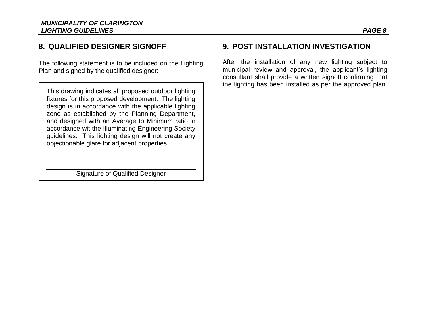# <span id="page-10-0"></span>**8. QUALIFIED DESIGNER SIGNOFF**

The following statement is to be included on the Lighting Plan and signed by the qualified designer:

This drawing indicates all proposed outdoor lighting fixtures for this proposed development. The lighting design is in accordance with the applicable lighting zone as established by the Planning Department, and designed with an Average to Minimum ratio in accordance wit the Illuminating Engineering Society guidelines. This lighting design will not create any objectionable glare for adjacent properties.

Signature of Qualified Designer

# **9. POST INSTALLATION INVESTIGATION**

After the installation of any new lighting subject to municipal review and approval, the applicant's lighting consultant shall provide a written signoff confirming that the lighting has been installed as per the approved plan.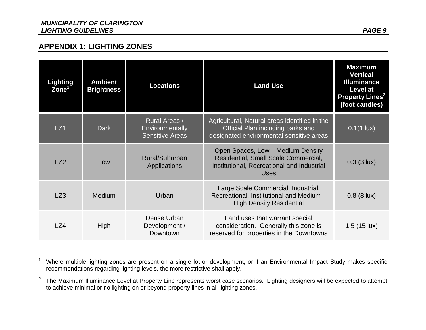$\overline{a}$ 

<span id="page-11-0"></span>

| <b>Lighting</b><br>Zone <sup>1</sup> | <b>Ambient</b><br><b>Brightness</b> | <b>Locations</b>                                           | <b>Land Use</b>                                                                                                                        | <b>Maximum</b><br><b>Vertical</b><br><b>Illuminance</b><br><b>Level at</b><br><b>Property Lines<sup>2</sup></b><br>(foot candles) |
|--------------------------------------|-------------------------------------|------------------------------------------------------------|----------------------------------------------------------------------------------------------------------------------------------------|-----------------------------------------------------------------------------------------------------------------------------------|
| LZ1                                  | <b>Dark</b>                         | Rural Areas /<br>Environmentally<br><b>Sensitive Areas</b> | Agricultural, Natural areas identified in the<br>Official Plan including parks and<br>designated environmental sensitive areas         | $0.1(1 \text{ lux})$                                                                                                              |
| LZ2                                  | Low                                 | Rural/Suburban<br>Applications                             | Open Spaces, Low - Medium Density<br>Residential, Small Scale Commercial,<br>Institutional, Recreational and Industrial<br><b>Uses</b> | $0.3$ (3 lux)                                                                                                                     |
| LZ3                                  | Medium                              | Urban                                                      | Large Scale Commercial, Industrial,<br>Recreational, Institutional and Medium -<br><b>High Density Residential</b>                     | $0.8$ (8 lux)                                                                                                                     |
| LZ4                                  | High                                | Dense Urban<br>Development /<br>Downtown                   | Land uses that warrant special<br>consideration. Generally this zone is<br>reserved for properties in the Downtowns                    | $1.5(15 \text{ lux})$                                                                                                             |

<sup>&</sup>lt;sup>1</sup> Where multiple lighting zones are present on a single lot or development, or if an Environmental Impact Study makes specific recommendations regarding lighting levels, the more restrictive shall apply.

<sup>&</sup>lt;sup>2</sup> The Maximum Illuminance Level at Property Line represents worst case scenarios. Lighting designers will be expected to attempt to achieve minimal or no lighting on or beyond property lines in all lighting zones.